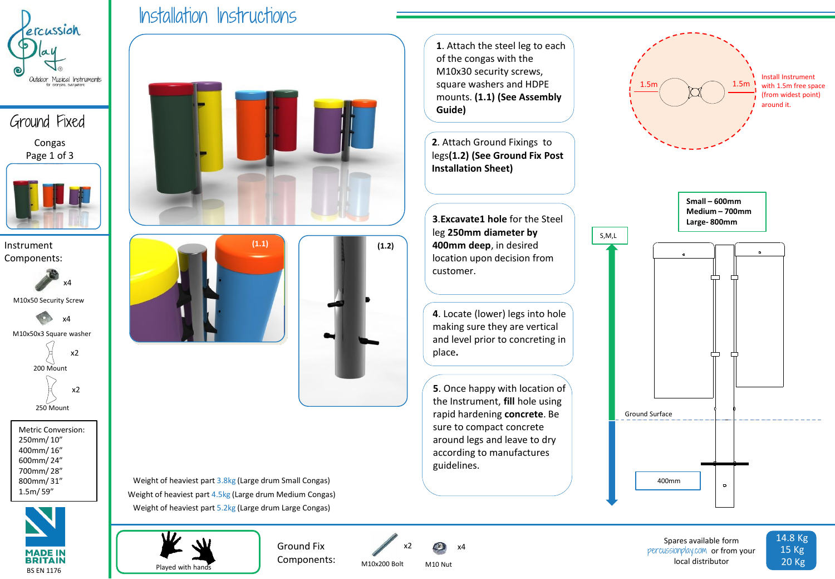

Ground Fixed Congas Page 1 of 3



**(1.1)** Instrument **(1.2)** Components:



M10x50 Security Screw



Metric Conversion: 250mm/ 10" 400mm/ 16" 600mm/ 24" 700mm/ 28" 800mm/ 31" 1.5m/ 59"



Installation Instructions

**1**. Attach the steel leg to each of the congas with the M10x30 security screws, square washers and HDPE mounts. **(1.1) (See Assembly Guide)**

**2**. Attach Ground Fixings to legs**(1.2) (See Ground Fix Post Installation Sheet)**

**3**.**Excavate1 hole** for the Steel leg **250mm diameter by 400mm deep**, in desired location upon decision from customer.

**4**. Locate (lower) legs into hole making sure they are vertical and level prior to concreting in place**.**

**5**. Once happy with location of the Instrument, **fill** hole using rapid hardening **concrete**. Be sure to compact concrete around legs and leave to dry according to manufactures guidelines.



Weight of heaviest part 3.8kg (Large drum Small Congas) Weight of heaviest part 4.5kg (Large drum Medium Congas) Weight of heaviest part 5.2kg (Large drum Large Congas)



Components:



M10x200 Bolt

M10 Nut

Spares available form percussionplay.com or from your local distributor

 $\bullet$ 

14.8 Kg 15 Kg 20 Kg

400mm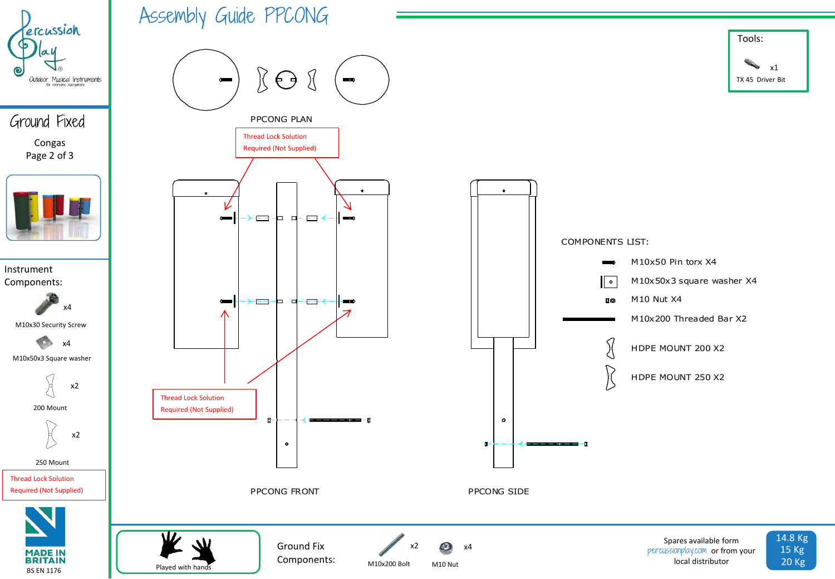

Ground Fixed Congas Page 2 of 3



Instrument Components:

> M10x30 Security Screw x4 x4

M10x50x3 Square washer



200 Mount



250 Mount

Thread Lock Solution



Assembly Guide PPCONG



Ground Fix Components:

Played with hands

M10x200 Bolt

x2

M10 Nut

O.

x4



Spares available form percussionplay.com or from your local distributor



TX 45 Driver Bit

x1

Tools: